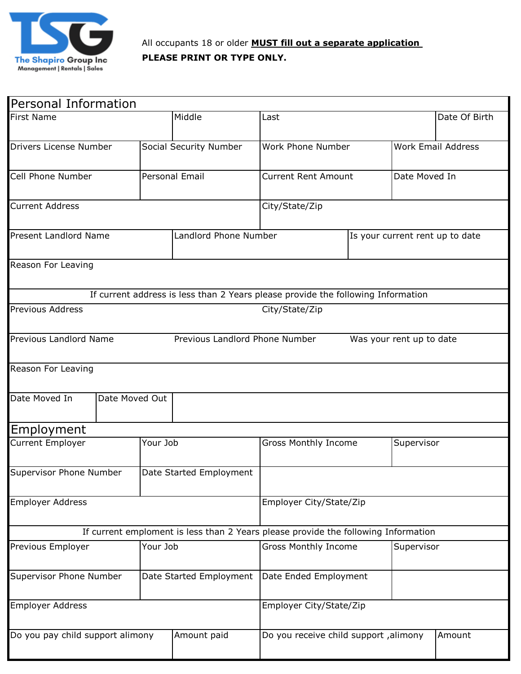

| Personal Information             |  |                         |                                |                                                                                    |                                 |                          |  |  |  |
|----------------------------------|--|-------------------------|--------------------------------|------------------------------------------------------------------------------------|---------------------------------|--------------------------|--|--|--|
| <b>First Name</b>                |  | Middle                  | Last                           |                                                                                    | Date Of Birth                   |                          |  |  |  |
| Drivers License Number           |  | Social Security Number  | Work Phone Number              |                                                                                    | <b>Work Email Address</b>       |                          |  |  |  |
| Cell Phone Number                |  |                         | Personal Email                 | <b>Current Rent Amount</b>                                                         |                                 | Date Moved In            |  |  |  |
| <b>Current Address</b>           |  |                         |                                | City/State/Zip                                                                     |                                 |                          |  |  |  |
| Present Landlord Name            |  |                         | Landlord Phone Number          |                                                                                    | Is your current rent up to date |                          |  |  |  |
| Reason For Leaving               |  |                         |                                |                                                                                    |                                 |                          |  |  |  |
|                                  |  |                         |                                | If current address is less than 2 Years please provide the following Information   |                                 |                          |  |  |  |
| <b>Previous Address</b>          |  |                         |                                | City/State/Zip                                                                     |                                 |                          |  |  |  |
| Previous Landlord Name           |  |                         | Previous Landlord Phone Number |                                                                                    |                                 | Was your rent up to date |  |  |  |
| Reason For Leaving               |  |                         |                                |                                                                                    |                                 |                          |  |  |  |
| Date Moved In<br>Date Moved Out  |  |                         |                                |                                                                                    |                                 |                          |  |  |  |
| Employment                       |  |                         |                                |                                                                                    |                                 |                          |  |  |  |
| <b>Current Employer</b>          |  |                         | Your Job                       | Gross Monthly Income                                                               |                                 | Supervisor               |  |  |  |
| Supervisor Phone Number          |  |                         | Date Started Employment        |                                                                                    |                                 |                          |  |  |  |
| <b>Employer Address</b>          |  |                         |                                | Employer City/State/Zip                                                            |                                 |                          |  |  |  |
|                                  |  |                         |                                | If current emploment is less than 2 Years please provide the following Information |                                 |                          |  |  |  |
| Previous Employer                |  | Your Job                |                                | <b>Gross Monthly Income</b>                                                        |                                 | Supervisor               |  |  |  |
| Supervisor Phone Number          |  | Date Started Employment |                                | Date Ended Employment                                                              |                                 |                          |  |  |  |
| <b>Employer Address</b>          |  |                         |                                | Employer City/State/Zip                                                            |                                 |                          |  |  |  |
| Do you pay child support alimony |  |                         | Amount paid                    | Do you receive child support, alimony<br>Amount                                    |                                 |                          |  |  |  |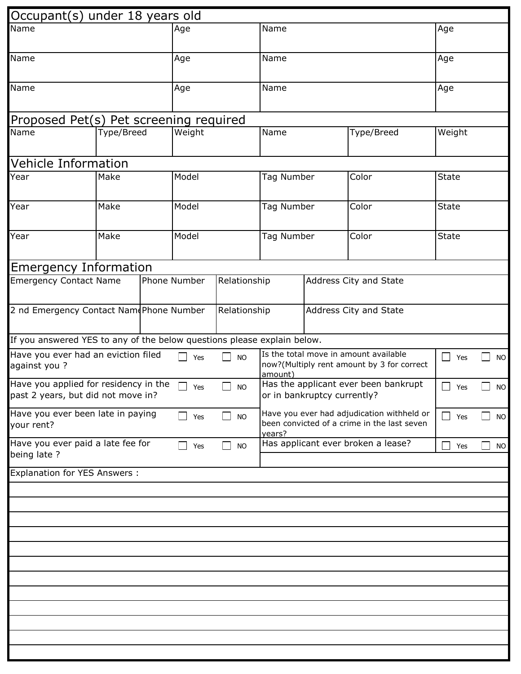| Occupant(s) under 18 years old                                                                                          |               |                     |                                                                                                     |                                                                     |  |                                 |                      |           |
|-------------------------------------------------------------------------------------------------------------------------|---------------|---------------------|-----------------------------------------------------------------------------------------------------|---------------------------------------------------------------------|--|---------------------------------|----------------------|-----------|
| Name                                                                                                                    | Age           |                     | Name                                                                                                |                                                                     |  | Age                             |                      |           |
|                                                                                                                         |               |                     |                                                                                                     |                                                                     |  |                                 |                      |           |
| Name                                                                                                                    | Age           |                     | Name                                                                                                |                                                                     |  | Age                             |                      |           |
| Name                                                                                                                    |               | Age                 |                                                                                                     | Name                                                                |  |                                 | Age                  |           |
|                                                                                                                         |               |                     |                                                                                                     |                                                                     |  |                                 |                      |           |
| Proposed Pet(s) Pet screening required                                                                                  |               |                     |                                                                                                     |                                                                     |  |                                 |                      |           |
| Name                                                                                                                    | Type/Breed    | Weight              |                                                                                                     | Name                                                                |  | Type/Breed                      | Weight               |           |
| Vehicle Information                                                                                                     |               |                     |                                                                                                     |                                                                     |  |                                 |                      |           |
| Year<br>Make                                                                                                            |               | Model               |                                                                                                     | Tag Number                                                          |  | Color                           | <b>State</b>         |           |
|                                                                                                                         |               |                     |                                                                                                     |                                                                     |  |                                 |                      |           |
| Year                                                                                                                    | Make          | Model               |                                                                                                     | Tag Number                                                          |  | Color                           | <b>State</b>         |           |
| Year                                                                                                                    | Make          | Model               |                                                                                                     | Tag Number                                                          |  | Color                           | <b>State</b>         |           |
|                                                                                                                         |               |                     |                                                                                                     |                                                                     |  |                                 |                      |           |
| <b>Emergency Information</b><br><b>Emergency Contact Name</b><br>Phone Number<br>Relationship<br>Address City and State |               |                     |                                                                                                     |                                                                     |  |                                 |                      |           |
|                                                                                                                         |               |                     |                                                                                                     |                                                                     |  |                                 |                      |           |
| 2 nd Emergency Contact Nam Phone Number                                                                                 |               |                     | Relationship                                                                                        |                                                                     |  | Address City and State          |                      |           |
| If you answered YES to any of the below questions please explain below.                                                 |               |                     |                                                                                                     |                                                                     |  |                                 |                      |           |
| Have you ever had an eviction filed<br>against you?                                                                     | $\Box$<br>Yes | $\Box$<br><b>NO</b> | Is the total move in amount available<br>now?(Multiply rent amount by 3 for correct<br>amount)      |                                                                     |  | $\overline{\phantom{0}}$<br>Yes | <b>NO</b>            |           |
| Have you applied for residency in the<br>past 2 years, but did not move in?                                             |               | $\Box$ Yes          | $\Box$ NO                                                                                           | Has the applicant ever been bankrupt<br>or in bankruptcy currently? |  |                                 | $\Box$ Yes<br>$\Box$ | NO        |
| Have you ever been late in paying<br>your rent?                                                                         | $\Box$ Yes    | $\Box$<br><b>NO</b> | Have you ever had adjudication withheld or<br>been convicted of a crime in the last seven<br>years? |                                                                     |  | Yes                             | <b>NO</b>            |           |
| Have you ever paid a late fee for<br>being late ?                                                                       |               | $\Box$ Yes          | <b>NO</b><br>$\mathsf{I}$                                                                           | Has applicant ever broken a lease?                                  |  |                                 | $\mathcal{L}$<br>Yes | <b>NO</b> |
| <b>Explanation for YES Answers:</b>                                                                                     |               |                     |                                                                                                     |                                                                     |  |                                 |                      |           |
|                                                                                                                         |               |                     |                                                                                                     |                                                                     |  |                                 |                      |           |
|                                                                                                                         |               |                     |                                                                                                     |                                                                     |  |                                 |                      |           |
|                                                                                                                         |               |                     |                                                                                                     |                                                                     |  |                                 |                      |           |
|                                                                                                                         |               |                     |                                                                                                     |                                                                     |  |                                 |                      |           |
|                                                                                                                         |               |                     |                                                                                                     |                                                                     |  |                                 |                      |           |
|                                                                                                                         |               |                     |                                                                                                     |                                                                     |  |                                 |                      |           |
|                                                                                                                         |               |                     |                                                                                                     |                                                                     |  |                                 |                      |           |
|                                                                                                                         |               |                     |                                                                                                     |                                                                     |  |                                 |                      |           |
|                                                                                                                         |               |                     |                                                                                                     |                                                                     |  |                                 |                      |           |
|                                                                                                                         |               |                     |                                                                                                     |                                                                     |  |                                 |                      |           |
|                                                                                                                         |               |                     |                                                                                                     |                                                                     |  |                                 |                      |           |